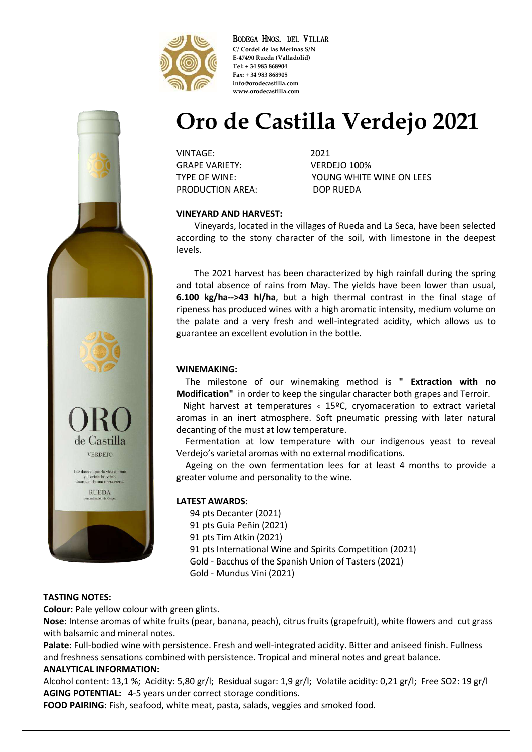

BODEGA HNOS. DEL VILLAR **C/ Cordel de las Merinas S/N E-47490 Rueda (Valladolid) Tel: + 34 983 868904 Fax: + 34 983 868905 info@orodecastilla.com www.orodecastilla.com**

# **Oro de Castilla Verdejo 2021**

VINTAGE: 2021 GRAPE VARIETY: VERDEJO 100% PRODUCTION AREA: DOP RUEDA

TYPE OF WINE: YOUNG WHITE WINE ON LEES

## **VINEYARD AND HARVEST:**

 Vineyards, located in the villages of Rueda and La Seca, have been selected according to the stony character of the soil, with limestone in the deepest levels.

 The 2021 harvest has been characterized by high rainfall during the spring and total absence of rains from May. The yields have been lower than usual, **6.100 kg/ha-->43 hl/ha**, but a high thermal contrast in the final stage of ripeness has produced wines with a high aromatic intensity, medium volume on the palate and a very fresh and well-integrated acidity, which allows us to guarantee an excellent evolution in the bottle.

#### **WINEMAKING:**

 The milestone of our winemaking method is **" Extraction with no Modification"** in order to keep the singular character both grapes and Terroir.

 Night harvest at temperatures < 15ºC, cryomaceration to extract varietal aromas in an inert atmosphere. Soft pneumatic pressing with later natural decanting of the must at low temperature.

 Fermentation at low temperature with our indigenous yeast to reveal Verdejo's varietal aromas with no external modifications.

 Ageing on the own fermentation lees for at least 4 months to provide a greater volume and personality to the wine.

#### **LATEST AWARDS:**

94 pts Decanter (2021) 91 pts Guia Peñin (2021) 91 pts Tim Atkin (2021) 91 pts International Wine and Spirits Competition (2021) Gold - Bacchus of the Spanish Union of Tasters (2021) Gold - Mundus Vini (2021)

### **TASTING NOTES:**

**Colour:** Pale yellow colour with green glints.

**Nose:** Intense aromas of white fruits (pear, banana, peach), citrus fruits (grapefruit), white flowers and cut grass with balsamic and mineral notes.

**Palate:** Full-bodied wine with persistence. Fresh and well-integrated acidity. Bitter and aniseed finish. Fullness and freshness sensations combined with persistence. Tropical and mineral notes and great balance.

#### **ANALYTICAL INFORMATION:**

Alcohol content: 13,1 %; Acidity: 5,80 gr/l; Residual sugar: 1,9 gr/l; Volatile acidity: 0,21 gr/l; Free SO2: 19 gr/l **AGING POTENTIAL:** 4-5 years under correct storage conditions.

**FOOD PAIRING:** Fish, seafood, white meat, pasta, salads, veggies and smoked food.